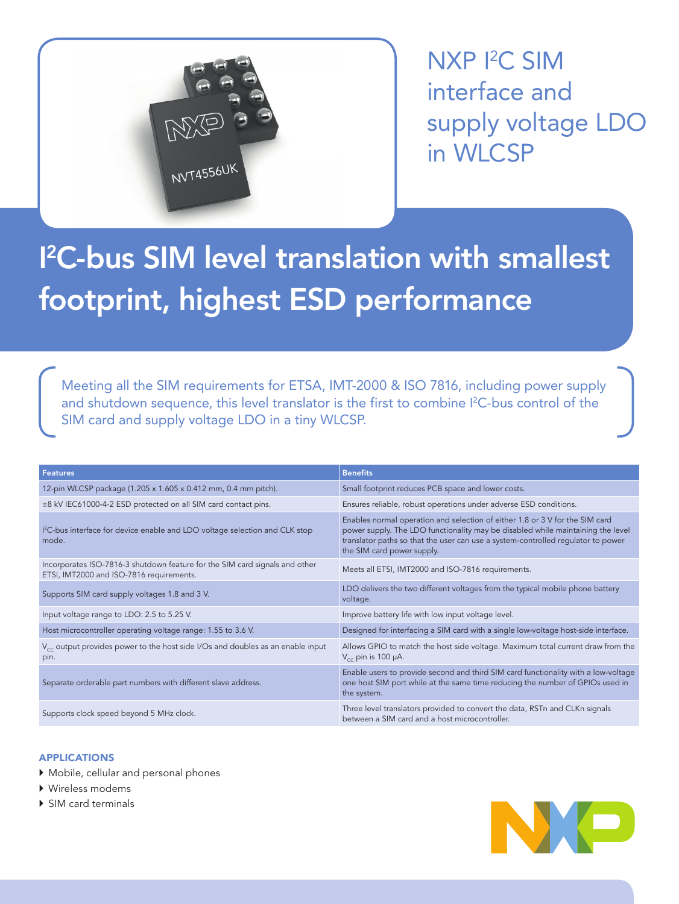

NXP I2 C SIM interface and supply voltage LDO in WLCSP

# I 2 C-bus SIM level translation with smallest footprint, highest ESD performance

Meeting all the SIM requirements for ETSA, IMT-2000 & ISO 7816, including power supply and shutdown sequence, this level translator is the first to combine I<sup>2</sup>C-bus control of the SIM card and supply voltage LDO in a tiny WLCSP.

| <b>Features</b>                                                                                                         | <b>Benefits</b>                                                                                                                                                                                                                                                                   |
|-------------------------------------------------------------------------------------------------------------------------|-----------------------------------------------------------------------------------------------------------------------------------------------------------------------------------------------------------------------------------------------------------------------------------|
| 12-pin WLCSP package (1.205 x 1.605 x 0.412 mm, 0.4 mm pitch).                                                          | Small footprint reduces PCB space and lower costs.                                                                                                                                                                                                                                |
| ±8 kV IEC61000-4-2 ESD protected on all SIM card contact pins.                                                          | Ensures reliable, robust operations under adverse ESD conditions.                                                                                                                                                                                                                 |
| I <sup>2</sup> C-bus interface for device enable and LDO voltage selection and CLK stop<br>mode.                        | Enables normal operation and selection of either 1.8 or 3 V for the SIM card<br>power supply. The LDO functionality may be disabled while maintaining the level<br>translator paths so that the user can use a system-controlled requlator to power<br>the SIM card power supply. |
| Incorporates ISO-7816-3 shutdown feature for the SIM card signals and other<br>ETSI, IMT2000 and ISO-7816 requirements. | Meets all ETSI, IMT2000 and ISO-7816 requirements.                                                                                                                                                                                                                                |
| Supports SIM card supply voltages 1.8 and 3 V.                                                                          | LDO delivers the two different voltages from the typical mobile phone battery<br>voltage.                                                                                                                                                                                         |
| Input voltage range to LDO: 2.5 to 5.25 V.                                                                              | Improve battery life with low input voltage level.                                                                                                                                                                                                                                |
| Host microcontroller operating voltage range: 1.55 to 3.6 V.                                                            | Designed for interfacing a SIM card with a single low-voltage host-side interface.                                                                                                                                                                                                |
| $V_{cc}$ output provides power to the host side I/Os and doubles as an enable input<br>pin.                             | Allows GPIO to match the host side voltage. Maximum total current draw from the<br>$V_{cc}$ pin is 100 µA.                                                                                                                                                                        |
| Separate orderable part numbers with different slave address.                                                           | Enable users to provide second and third SIM card functionality with a low-voltage<br>one host SIM port while at the same time reducing the number of GPIOs used in<br>the system.                                                                                                |
| Supports clock speed beyond 5 MHz clock.                                                                                | Three level translators provided to convert the data, RSTn and CLKn signals<br>between a SIM card and a host microcontroller.                                                                                                                                                     |

## APPLICATIONS

- $\blacktriangleright$  Mobile, cellular and personal phones
- $\blacktriangleright$  Wireless modems
- ▶ SIM card terminals